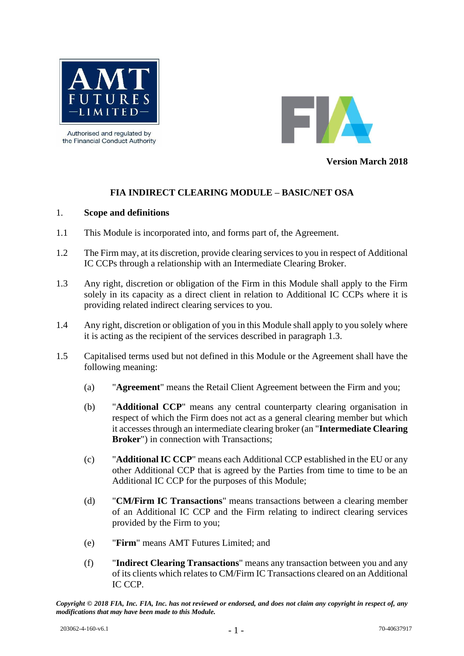

the Financial Conduct Authority



**Version March 2018**

# **FIA INDIRECT CLEARING MODULE – BASIC/NET OSA**

### 1. **Scope and definitions**

- 1.1 This Module is incorporated into, and forms part of, the Agreement.
- 1.2 The Firm may, at its discretion, provide clearing services to you in respect of Additional IC CCPs through a relationship with an Intermediate Clearing Broker.
- 1.3 Any right, discretion or obligation of the Firm in this Module shall apply to the Firm solely in its capacity as a direct client in relation to Additional IC CCPs where it is providing related indirect clearing services to you.
- 1.4 Any right, discretion or obligation of you in this Module shall apply to you solely where it is acting as the recipient of the services described in paragraph 1.3.
- 1.5 Capitalised terms used but not defined in this Module or the Agreement shall have the following meaning:
	- (a) "**Agreement**" means the Retail Client Agreement between the Firm and you;
	- (b) "**Additional CCP**" means any central counterparty clearing organisation in respect of which the Firm does not act as a general clearing member but which it accesses through an intermediate clearing broker (an "**Intermediate Clearing Broker**") in connection with Transactions:
	- (c) "**Additional IC CCP**" means each Additional CCP established in the EU or any other Additional CCP that is agreed by the Parties from time to time to be an Additional IC CCP for the purposes of this Module;
	- (d) "**CM/Firm IC Transactions**" means transactions between a clearing member of an Additional IC CCP and the Firm relating to indirect clearing services provided by the Firm to you;
	- (e) "**Firm**" means AMT Futures Limited; and
	- (f) "**Indirect Clearing Transactions**" means any transaction between you and any of its clients which relates to CM/Firm IC Transactions cleared on an Additional IC CCP.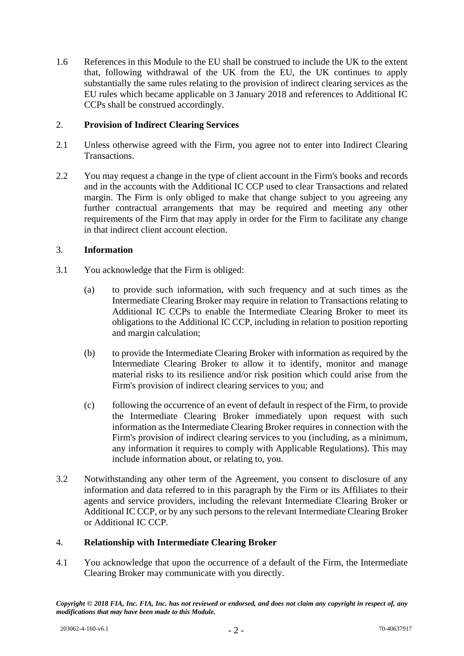1.6 References in this Module to the EU shall be construed to include the UK to the extent that, following withdrawal of the UK from the EU, the UK continues to apply substantially the same rules relating to the provision of indirect clearing services as the EU rules which became applicable on 3 January 2018 and references to Additional IC CCPs shall be construed accordingly.

## 2. **Provision of Indirect Clearing Services**

- 2.1 Unless otherwise agreed with the Firm, you agree not to enter into Indirect Clearing Transactions.
- 2.2 You may request a change in the type of client account in the Firm's books and records and in the accounts with the Additional IC CCP used to clear Transactions and related margin. The Firm is only obliged to make that change subject to you agreeing any further contractual arrangements that may be required and meeting any other requirements of the Firm that may apply in order for the Firm to facilitate any change in that indirect client account election.

### 3. **Information**

- 3.1 You acknowledge that the Firm is obliged:
	- (a) to provide such information, with such frequency and at such times as the Intermediate Clearing Broker may require in relation to Transactions relating to Additional IC CCPs to enable the Intermediate Clearing Broker to meet its obligations to the Additional IC CCP, including in relation to position reporting and margin calculation;
	- (b) to provide the Intermediate Clearing Broker with information as required by the Intermediate Clearing Broker to allow it to identify, monitor and manage material risks to its resilience and/or risk position which could arise from the Firm's provision of indirect clearing services to you; and
	- (c) following the occurrence of an event of default in respect of the Firm, to provide the Intermediate Clearing Broker immediately upon request with such information as the Intermediate Clearing Broker requires in connection with the Firm's provision of indirect clearing services to you (including, as a minimum, any information it requires to comply with Applicable Regulations). This may include information about, or relating to, you.
- 3.2 Notwithstanding any other term of the Agreement, you consent to disclosure of any information and data referred to in this paragraph by the Firm or its Affiliates to their agents and service providers, including the relevant Intermediate Clearing Broker or Additional IC CCP, or by any such persons to the relevant Intermediate Clearing Broker or Additional IC CCP.

## 4. **Relationship with Intermediate Clearing Broker**

4.1 You acknowledge that upon the occurrence of a default of the Firm, the Intermediate Clearing Broker may communicate with you directly.

*Copyright © 2018 FIA, Inc. FIA, Inc. has not reviewed or endorsed, and does not claim any copyright in respect of, any modifications that may have been made to this Module.*